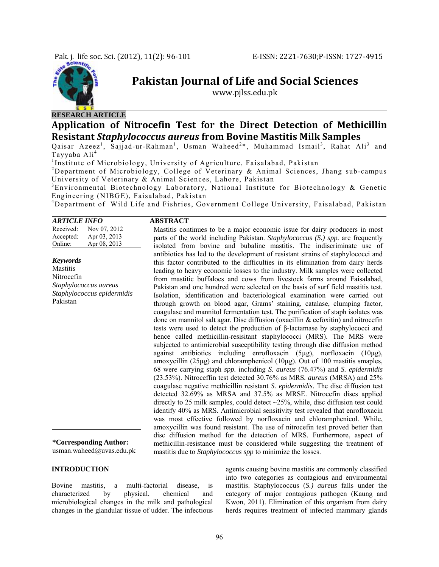

# **Pakistan Journal of Life and Social Sciences**

www.pjlss.edu.pk

# **RESEARCH ARTICLE**

# **Application of Nitrocefin Test for the Direct Detection of Methicillin Resistant** *Staphylococcus aureus* **from Bovine Mastitis Milk Samples**

Qaisar Azeez<sup>1</sup>, Sajjad-ur-Rahman<sup>1</sup>, Usman Waheed<sup>2\*</sup>, Muhammad Ismail<sup>3</sup>, Rahat Ali<sup>3</sup> and Tayyaba Ali<sup>4</sup>

<sup>1</sup>Institute of Microbiology, University of Agriculture, Faisalabad, Pakistan

<sup>2</sup>Department of Microbiology, College of Veterinary & Animal Sciences, Jhang sub-campus University of Veterinary & Animal Sciences, Lahore, Pakistan

<sup>3</sup>Environmental Biotechnology Laboratory, National Institute for Biotechnology & Genetic Engineering (NIBGE), Faisalabad, Pakistan

4 Department of Wild Life and Fishries, Government College University, Faisalabad, Pakistan

| <b>ARTICLE INFO</b>                                                                                                 | <b>ABSTRACT</b>                                                                                                                                                                                                                                                                                                                                                                                                                                                                                                                                                                                                                                                                                                                                                                                                                                                                                                                                                                                                                                                                                                                                                                                                                                                                                                                                                                                                                                                                                                                                                                                                                                                                                                                                                                                                                                                                                                                                      |  |  |  |
|---------------------------------------------------------------------------------------------------------------------|------------------------------------------------------------------------------------------------------------------------------------------------------------------------------------------------------------------------------------------------------------------------------------------------------------------------------------------------------------------------------------------------------------------------------------------------------------------------------------------------------------------------------------------------------------------------------------------------------------------------------------------------------------------------------------------------------------------------------------------------------------------------------------------------------------------------------------------------------------------------------------------------------------------------------------------------------------------------------------------------------------------------------------------------------------------------------------------------------------------------------------------------------------------------------------------------------------------------------------------------------------------------------------------------------------------------------------------------------------------------------------------------------------------------------------------------------------------------------------------------------------------------------------------------------------------------------------------------------------------------------------------------------------------------------------------------------------------------------------------------------------------------------------------------------------------------------------------------------------------------------------------------------------------------------------------------------|--|--|--|
| Nov 07, 2012<br>Received:<br>Apr 03, 2013<br>Accepted:<br>Apr 08, 2013<br>Online:                                   | Mastitis continues to be a major economic issue for dairy producers in most<br>parts of the world including Pakistan. Staphylococcus (S.) spp. are frequently<br>isolated from bovine and bubaline mastitis. The indiscriminate use of                                                                                                                                                                                                                                                                                                                                                                                                                                                                                                                                                                                                                                                                                                                                                                                                                                                                                                                                                                                                                                                                                                                                                                                                                                                                                                                                                                                                                                                                                                                                                                                                                                                                                                               |  |  |  |
| <b>Keywords</b><br><b>Mastitis</b><br>Nitrocefin<br>Staphylococcus aureus<br>Staphylococcus epidermidis<br>Pakistan | antibiotics has led to the development of resistant strains of staphylococci and<br>this factor contributed to the difficulties in its elimination from dairy herds<br>leading to heavy economic losses to the industry. Milk samples were collected<br>from mastitic buffaloes and cows from livestock farms around Faisalabad,<br>Pakistan and one hundred were selected on the basis of surf field mastitis test.<br>Isolation, identification and bacteriological examination were carried out<br>through growth on blood agar, Grams' staining, catalase, clumping factor,<br>coagulase and mannitol fermentation test. The purification of staph isolates was<br>done on mannitol salt agar. Disc diffusion (oxacillin & cefoxitin) and nitrocefin<br>tests were used to detect the production of $\beta$ -lactamase by staphylococci and<br>hence called methicillin-resisitant staphylococci (MRS). The MRS were<br>subjected to antimicrobial susceptibility testing through disc diffusion method<br>against antibiotics including enrofloxacin (5µg), norfloxacin<br>$(10\mu$ g).<br>amoxycillin ( $25\mu$ g) and chloramphenicol ( $10\mu$ g). Out of 100 mastitis smaples,<br>68 were carrying staph <i>spp.</i> including <i>S. aureus</i> (76.47%) and <i>S. epidermidis</i><br>(23.53%). Nitroceffin test detected 30.76% as MRS. aureus (MRSA) and 25%<br>coagulase negative methicillin resistant S. epidermidis. The disc diffusion test<br>detected 32.69% as MRSA and 37.5% as MRSE. Nitrocefin discs applied<br>directly to 25 milk samples, could detect $\sim$ 25%, while, disc diffusion test could<br>identify 40% as MRS. Antimicrobial sensitivity test revealed that enrofloxacin<br>was most effective followed by norfloxacin and chloramphenicol. While,<br>amoxycillin was found resistant. The use of nitrocefin test proved better than<br>disc diffusion method for the detection of MRS. Furthermore, aspect of |  |  |  |
| *Corresponding Author:<br>usman.waheed@uvas.edu.pk                                                                  | methicillin-resistance must be considered while suggesting the treatment of<br>mastitis due to Staphylococcus spp to minimize the losses.                                                                                                                                                                                                                                                                                                                                                                                                                                                                                                                                                                                                                                                                                                                                                                                                                                                                                                                                                                                                                                                                                                                                                                                                                                                                                                                                                                                                                                                                                                                                                                                                                                                                                                                                                                                                            |  |  |  |

#### **INTRODUCTION**

Bovine mastitis, a multi-factorial disease, is characterized by physical, chemical and microbiological changes in the milk and pathological changes in the glandular tissue of udder. The infectious

agents causing bovine mastitis are commonly classified into two categories as contagious and environmental mastitis. Staphylococcus (*S.) aureus* falls under the category of major contagious pathogen (Kaung and Kwon, 2011). Elimination of this organism from dairy herds requires treatment of infected mammary glands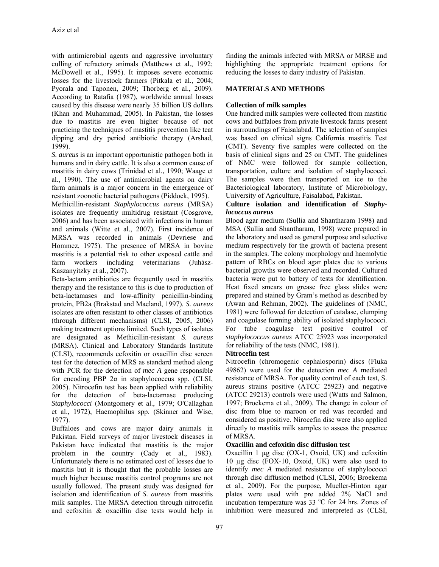with antimicrobial agents and aggressive involuntary culling of refractory animals (Matthews et al., 1992; McDowell et al., 1995). It imposes severe economic losses for the livestock farmers (Pitkala et al., 2004; Pyorala and Taponen, 2009; Thorberg et al., 2009). According to Ratafia (1987), worldwide annual losses caused by this disease were nearly 35 billion US dollars (Khan and Muhammad, 2005). In Pakistan, the losses due to mastitis are even higher because of not practicing the techniques of mastitis prevention like teat dipping and dry period antibiotic therapy (Arshad, 1999).

*S. aureus* is an important opportunistic pathogen both in humans and in dairy cattle. It is also a common cause of mastitis in dairy cows (Trinidad et al., 1990; Waage et al., 1990). The use of antimicrobial agents on dairy farm animals is a major concern in the emergence of resistant zoonotic bacterial pathogens (Piddock, 1995).

Methicillin-resistant *Staphylococcus aureus* (MRSA) isolates are frequently multidrug resistant (Cosgrove, 2006) and has been associated with infections in human and animals (Witte et al., 2007). First incidence of MRSA was recorded in animals (Devriese and Hommez, 1975). The presence of MRSA in bovine mastitis is a potential risk to other exposed cattle and farm workers including veterinarians (Juhász-Kaszanyitzky et al., 2007).

Beta-lactam antibiotics are frequently used in mastitis therapy and the resistance to this is due to production of beta-lactamases and low-affinity penicillin-binding protein, PB2a (Brakstad and Maeland, 1997). *S. aureus*  isolates are often resistant to other classes of antibiotics (through different mechanisms) (CLSI, 2005, 2006) making treatment options limited. Such types of isolates are designated as Methicillin-resistant *S. aureus*  (MRSA). Clinical and Laboratory Standards Institute (CLSI), recommends cefoxitin or oxacillin disc screen test for the detection of MRS as standard method along with PCR for the detection of *mec A* gene responsible for encoding PBP  $2\alpha$  in staphylococcus spp. (CLSI, 2005). Nitrocefin test has been applied with reliability for the detection of beta-lactamase producing *Staphylococci* (Montgomery et al., 1979; O'Callaghan et al., 1972), Haemophilus spp. (Skinner and Wise, 1977).

Buffaloes and cows are major dairy animals in Pakistan. Field surveys of major livestock diseases in Pakistan have indicated that mastitis is the major problem in the country (Cady et al., 1983). Unfortunately there is no estimated cost of losses due to mastitis but it is thought that the probable losses are much higher because mastitis control programs are not usually followed. The present study was designed for isolation and identification of *S. aureus* from mastitis milk samples. The MRSA detection through nitrocefin and cefoxitin & oxacillin disc tests would help in

finding the animals infected with MRSA or MRSE and highlighting the appropriate treatment options for reducing the losses to dairy industry of Pakistan.

# **MATERIALS AND METHODS**

## **Collection of milk samples**

One hundred milk samples were collected from mastitic cows and buffaloes from private livestock farms present in surroundings of Faisalabad. The selection of samples was based on clinical signs California mastitis Test (CMT). Seventy five samples were collected on the basis of clinical signs and 25 on CMT. The guidelines of NMC were followed for sample collection, transportation, culture and isolation of staphylococci. The samples were then transported on ice to the Bacteriological laboratory, Institute of Microbiology, University of Agriculture, Faisalabad, Pakistan.

#### **Culture isolation and identification of** *Staphylococcus aureus*

Blood agar medium (Sullia and Shantharam 1998) and MSA (Sullia and Shantharam, 1998) were prepared in the laboratory and used as general purpose and selective medium respectively for the growth of bacteria present in the samples. The colony morphology and haemolytic pattern of RBCs on blood agar plates due to various bacterial growths were observed and recorded. Cultured bacteria were put to battery of tests for identification. Heat fixed smears on grease free glass slides were prepared and stained by Gram's method as described by (Awan and Rehman, 2002). The guidelines of (NMC, 1981) were followed for detection of catalase, clumping and coagulase forming ability of isolated staphylococci. For tube coagulase test positive control of *staphylococcus aureus* ATCC 25923 was incorporated for reliability of the tests (NMC, 1981).

# **Nitrocefin test**

Nitrocefin (chromogenic cephalosporin) discs (Fluka 49862) were used for the detection *mec A* mediated resistance of MRSA. For quality control of each test, S. aureus strains positive (ATCC 25923) and negative (ATCC 29213) controls were used (Watts and Salmon, 1997; Broekema et al., 2009). The change in colour of disc from blue to maroon or red was recorded and considered as positive. Nirocefin disc were also applied directly to mastitis milk samples to assess the presence of MRSA.

#### **Oxacillin and cefoxitin disc diffusion test**

Oxacillin 1 µg disc (OX-1, Oxoid, UK) and cefoxitin 10 µg disc (FOX-10, Oxoid, UK) were also used to identify *mec A* mediated resistance of staphylococci through disc diffusion method (CLSI, 2006; Broekema et al., 2009). For the purpose, Mueller-Hinton agar plates were used with pre added 2% NaCl and incubation temperature was  $33 \text{ °C}$  for 24 hrs. Zones of inhibition were measured and interpreted as (CLSI,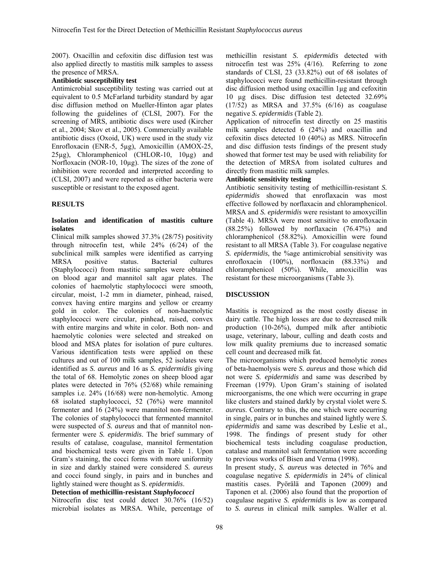2007). Oxacillin and cefoxitin disc diffusion test was also applied directly to mastitis milk samples to assess the presence of MRSA.

#### **Antibiotic susceptibility test**

Antimicrobial susceptibility testing was carried out at equivalent to 0.5 McFarland turbidity standard by agar disc diffusion method on Mueller-Hinton agar plates following the guidelines of (CLSI, 2007). For the screening of MRS, antibiotic discs were used (Kircher et al., 2004; Skov et al., 2005). Commercially available antibiotic discs (Oxoid, UK) were used in the study viz Enrofloxacin (ENR-5, 5µg), Amoxicillin (AMOX-25,  $25\mu$ g), Chloramphenicol (CHLOR-10, 10 $\mu$ g) and Norfloxacin (NOR-10, 10µg). The sizes of the zone of inhibition were recorded and interpreted according to (CLSI, 2007) and were reported as either bacteria were susceptible or resistant to the exposed agent.

#### **RESULTS**

#### **Isolation and identification of mastitis culture isolates**

Clinical milk samples showed 37.3% (28/75) positivity through nitrocefin test, while 24% (6/24) of the subclinical milk samples were identified as carrying MRSA positive status. Bacterial cultures (Staphylococci) from mastitic samples were obtained on blood agar and mannitol salt agar plates. The colonies of haemolytic staphylococci were smooth, circular, moist, 1-2 mm in diameter, pinhead, raised, convex having entire margins and yellow or creamy gold in color. The colonies of non-haemolytic staphylococci were circular, pinhead, raised, convex with entire margins and white in color. Both non- and haemolytic colonies were selected and streaked on blood and MSA plates for isolation of pure cultures. Various identification tests were applied on these cultures and out of 100 milk samples, 52 isolates were identified as *S. aureus* and 16 as *S. epidermidis* giving the total of 68. Hemolytic zones on sheep blood agar plates were detected in 76% (52/68) while remaining samples i.e. 24% (16/68) were non-hemolytic. Among 68 isolated staphylococci, 52 (76%) were mannitol fermenter and 16 (24%) were mannitol non-fermenter. The colonies of staphylococci that fermented mannitol were suspected of *S. aureus* and that of mannitol nonfermenter were *S. epidermidis*. The brief summary of results of catalase, coagulase, mannitol fermentation and biochemical tests were given in Table 1. Upon Gram's staining, the cocci forms with more uniformity in size and darkly stained were considered *S. aureus* and cocci found singly, in pairs and in bunches and lightly stained were thought as S. *epidermidis*.

### **Detection of methicillin-resistant** *Staphylococci*

Nitrocefin disc test could detect 30.76% (16/52) microbial isolates as MRSA. While, percentage of methicillin resistant *S. epidermidis* detected with nitrocefin test was 25% (4/16). Referring to zone standards of CLSI, 23 (33.82%) out of 68 isolates of staphylococci were found methicillin-resistant through disc diffusion method using oxacillin 1µg and cefoxitin 10 µg discs. Disc diffusion test detected 32.69% (17/52) as MRSA and 37.5% (6/16) as coagulase negative *S. epidermidis* (Table 2).

Application of nitrocefin test directly on 25 mastitis milk samples detected 6 (24%) and oxacillin and cefoxitin discs detected 10 (40%) as MRS. Nitrocefin and disc diffusion tests findings of the present study showed that former test may be used with reliability for the detection of MRSA from isolated cultures and directly from mastitic milk samples.

#### **Antibiotic sensitivity testing**

Antibiotic sensitivity testing of methicillin-resistant *S. epidermidis* showed that enroflaxacin was most effective followed by norflaxacin and chloramphenicol. MRSA and *S. epidermidis* were resistant to amoxycillin (Table 4). MRSA were most sensitive to enrofloxacin (88.25%) followed by norflaxacin (76.47%) and chloramphenicol (58.82%). Amoxicillin were found resistant to all MRSA (Table 3). For coagulase negative *S. epidermidis*, the %age antimicrobial sensitivity was enrofloxacin (100%), norfloxacin (88.33%) and chloramphenicol (50%). While, amoxicillin was resistant for these microorganisms (Table 3).

#### **DISCUSSION**

Mastitis is recognized as the most costly disease in dairy cattle. The high losses are due to decreased milk production (10-26%), dumped milk after antibiotic usage, veterinary, labour, culling and death costs and low milk quality premiums due to increased somatic cell count and decreased milk fat.

The microorganisms which produced hemolytic zones of beta-haemolysis were *S. aureus* and those which did not were *S. epidermidis* and same was described by Freeman (1979). Upon Gram's staining of isolated microorganisms, the one which were occurring in grape like clusters and stained darkly by crystal violet were *S. aureus*. Contrary to this, the one which were occurring in single, pairs or in bunches and stained lightly were *S. epidermidis* and same was described by Leslie et al., 1998. The findings of present study for other biochemical tests including coagulase production, catalase and mannitol salt fermentation were according to previous works of Bisen and Verma (1998).

In present study, *S. aureus* was detected in 76% and coagulase negative *S. epidermidis* in 24% of clinical mastitis cases. Pyörälä and Taponen (2009) and Taponen et al. (2006) also found that the proportion of coagulase negative *S. epidermidis* is low as compared to *S. aureus* in clinical milk samples. Waller et al.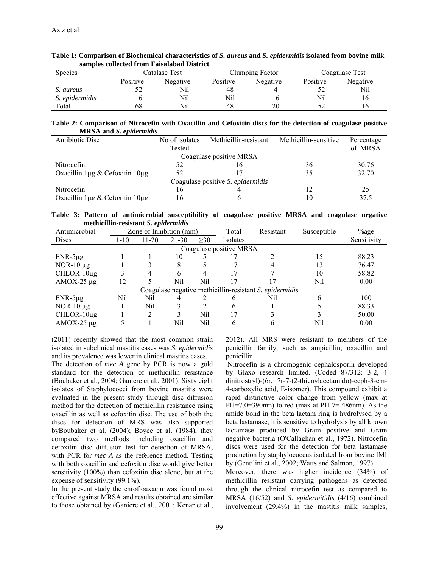| sampics conceitu n om i aisaiabau District |               |          |          |                 |          |                |  |
|--------------------------------------------|---------------|----------|----------|-----------------|----------|----------------|--|
| <b>Species</b>                             | Catalase Test |          |          | Clumping Factor |          | Coagulase Test |  |
|                                            | Positive      | Negative | Positive | Negative        | Positive | Negative       |  |
| S. aureus                                  |               | Nil      | 48       |                 |          | Nil            |  |
| S. epidermidis                             |               | Nil      | Nil      | 10              | Nil      | 16             |  |
| Total                                      |               | Nil      | 48       | 20              |          |                |  |

| Table 1: Comparison of Biochemical characteristics of S. aureus and S. epidermidis isolated from bovine milk |  |
|--------------------------------------------------------------------------------------------------------------|--|
| samples collected from Faisalabad District                                                                   |  |

**Table 2: Comparison of Nitrocefin with Oxacillin and Cefoxitin discs for the detection of coagulase positive MRSA and** *S. epidermidis*

| Antibiotic Disc                          | Methicillin-resistant<br>No of isolates |    | Methicillin-sensitive | Percentage |  |  |  |
|------------------------------------------|-----------------------------------------|----|-----------------------|------------|--|--|--|
|                                          | Tested                                  |    |                       | of MRSA    |  |  |  |
| Coagulase positive MRSA                  |                                         |    |                       |            |  |  |  |
| Nitrocefin                               | 52                                      | 16 | 36                    | 30.76      |  |  |  |
| Oxacillin $1\mu$ g & Cefoxitin $10\mu$ g | 52                                      |    | 35                    | 32.70      |  |  |  |
| Coagulase positive S. epidermidis        |                                         |    |                       |            |  |  |  |
| Nitrocefin                               | 16                                      |    |                       | 25         |  |  |  |
| Oxacillin $1\mu$ g & Cefoxitin $10\mu$ g | 16                                      |    | 10                    | 37.5       |  |  |  |

**Table 3: Pattern of antimicrobial susceptibility of coagulase positive MRSA and coagulase negative methicillin-resistant** *S. epidermidis* 

| Antimicrobial                                           | Zone of Inhibition (mm) |           |           | Total     | Resistant | Susceptible | <sup>%</sup> age |             |
|---------------------------------------------------------|-------------------------|-----------|-----------|-----------|-----------|-------------|------------------|-------------|
| <b>Discs</b>                                            | 1-10                    | $11 - 20$ | $21 - 30$ | $\geq 30$ | Isolates  |             |                  | Sensitivity |
| Coagulase positive MRSA                                 |                         |           |           |           |           |             |                  |             |
| $ENR-5\mu g$                                            |                         |           | 10        |           | 17        |             | 15               | 88.23       |
| $NOR-10 \mu g$                                          |                         |           | 8         |           | 17        |             | 13               | 76.47       |
| $CHLOR-10\mu g$                                         |                         |           | 6         | 4         | 17        |             | 10               | 58.82       |
| $AMOX-25 \mu g$                                         | 12                      |           | Nil       | Nil       | 17        |             | Nil              | 0.00        |
| Coagulase negative methicillin-resistant S. epidermidis |                         |           |           |           |           |             |                  |             |
| $ENR-5\mu g$                                            | Nil                     | Nil       |           |           | 6         | Nil         |                  | 100         |
| NOR-10 $\mu$ g                                          |                         | Nil       |           | 2         | 6         |             |                  | 88.33       |
| $CHLOR-10\mu g$                                         |                         | 2         | 3         | Nil       | 17        |             |                  | 50.00       |
| $AMOX-25 \mu g$                                         |                         |           | Nil       | Nil       | 6         |             | Nil              | 0.00        |

(2011) recently showed that the most common strain isolated in subclinical mastitis cases was *S. epidermidis*  and its prevalence was lower in clinical mastitis cases.

The detection of *mec A* gene by PCR is now a gold standard for the detection of methicillin resistance (Boubaker et al., 2004; Ganiere et al., 2001). Sixty eight isolates of Staphylococci from bovine mastitis were evaluated in the present study through disc diffusion method for the detection of methicillin resistance using oxacillin as well as cefoxitin disc. The use of both the discs for detection of MRS was also supported byBoubaker et al. (2004); Boyce et al. (1984), they compared two methods including oxacillin and cefoxitin disc diffusion test for detection of MRSA, with PCR for *mec A* as the reference method. Testing with both oxacillin and cefoxitin disc would give better sensitivity (100%) than cefoxitin disc alone, but at the expense of sensitivity (99.1%).

In the present study the enrofloaxacin was found most effective against MRSA and results obtained are similar to those obtained by (Ganiere et al., 2001; Kenar et al., 2012). All MRS were resistant to members of the penicillin family, such as ampicillin, oxacillin and penicillin.

 Nitrocefin is a chromogenic cephalosporin developed by Glaxo research limited. (Coded 87/312: 3-2, 4 dinitrostryl)-(6r, 7r-7-(2-thienylacetamido)-ceph-3-em-4-carboxylic acid, E-isomer). This compound exhibit a rapid distinctive color change from yellow (max at PH=7.0=390nm) to red (max at PH 7= 486nm). As the amide bond in the beta lactam ring is hydrolysed by a beta lastamase, it is sensitive to hydrolysis by all known lactamase produced by Gram positive and Gram negative bacteria (O'Callaghan et al., 1972). Nitrocefin discs were used for the detection for beta lastamase production by staphylococcus isolated from bovine IMI by (Gentilini et al., 2002; Watts and Salmon, 1997).

Moreover, there was higher incidence (34%) of methicillin resistant carrying pathogens as detected through the clinical nitrocefin test as compared to MRSA (16/52) and *S. epidermitidis* (4/16) combined involvement (29.4%) in the mastitis milk samples,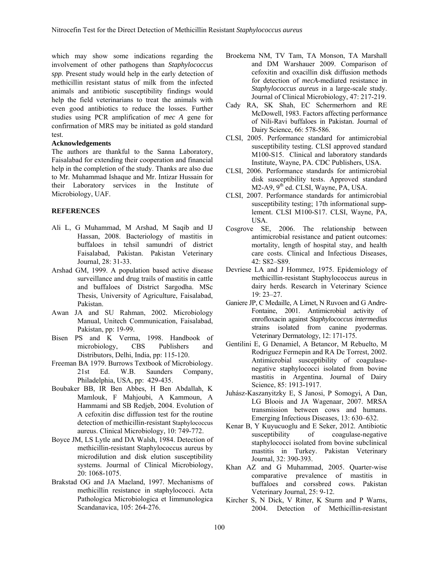which may show some indications regarding the involvement of other pathogens than *Staphylococcus spp*. Present study would help in the early detection of methicillin resistant status of milk from the infected animals and antibiotic susceptibility findings would help the field veterinarians to treat the animals with even good antibiotics to reduce the losses. Further studies using PCR amplification of *mec A* gene for confirmation of MRS may be initiated as gold standard test.

#### **Acknowledgements**

The authors are thankful to the Sanna Laboratory, Faisalabad for extending their cooperation and financial help in the completion of the study. Thanks are also due to Mr. Muhammad Ishaque and Mr. Intizar Hussain for their Laboratory services in the Institute of Microbiology, UAF.

#### **REFERENCES**

- Ali L, G Muhammad, M Arshad, M Saqib and IJ Hassan, 2008. Bacteriology of mastitis in buffaloes in tehsil samundri of district Faisalabad, Pakistan. Pakistan Veterinary Journal, 28: 31-33.
- Arshad GM, 1999. A population based active disease surveillance and drug trails of mastitis in cattle and buffaloes of District Sargodha. MSc Thesis, University of Agriculture, Faisalabad, Pakistan.
- Awan JA and SU Rahman, 2002. Microbiology Manual, Unitech Communication, Faisalabad, Pakistan, pp: 19-99.
- Bisen PS and K Verma, 1998. Handbook of microbiology, CBS Publishers and Distributors, Delhi, India, pp: 115-120.
- Freeman BA 1979. Burrows Textbook of Microbiology. 21st Ed. W.B. Saunders Company, Philadelphia, USA, pp: 429-435.
- Boubaker BB, IR Ben Abbes, H Ben Abdallah, K Mamlouk, F Mahjoubi, A Kammoun, A Hammami and SB Redjeb, 2004. Evolution of A cefoxitin disc diffussion test for the routine detection of methicillin-resistant Staphylococcus aureus. Clinical Microbiology, 10: 749-772.
- Boyce JM, LS Lytle and DA Walsh, 1984. Detection of methicillin-resistant Staphylococcus aureus by microdilution and disk elution susceptibility systems. Jourmal of Clinical Microbiology, 20: 1068-1075.
- Brakstad OG and JA Maeland, 1997. Mechanisms of methicillin resistance in staphylococci. Acta Pathologica Microbiologica et Iimmunologica Scandanavica, 105: 264-276.
- Broekema NM, TV Tam, TA Monson, TA Marshall and DM Warshauer 2009. Comparison of cefoxitin and oxacillin disk diffusion methods for detection of *mecA*-mediated resistance in *Staphylococcus aureus* in a large-scale study. Journal of Clinical Microbiology, 47: 217-219.
- Cady RA, SK Shah, EC Schermerhorn and RE McDowell, 1983. Factors affecting performance of Nili-Ravi buffaloes in Pakistan. Journal of Dairy Science, 66: 578-586.
- CLSI, 2005. Performance standard for antimicrobial susceptibility testing. CLSI approved standard M100-S15. Clinical and laboratory standards Institute, Wayne, PA. CDC Publishers, USA.
- CLSI, 2006. Performance standards for antimicrobial disk susceptibility tests. Approved standard  $M2-A9$ ,  $9<sup>th</sup>$  ed. CLSI, Wayne, PA, USA.
- CLSI, 2007. Performance standards for antimicrobial susceptibility testing; 17th informational supplement. CLSI M100-S17. CLSI, Wayne, PA, USA.
- Cosgrove SE, 2006. The relationship between antimicrobial resistance and patient outcomes: mortality, length of hospital stay, and health care costs. Clinical and Infectious Diseases, 42: S82–S89.
- Devriese LA and J Hommez, 1975. Epidemiology of methicillin-resistant Staphylococcus aureus in dairy herds. Research in Veterinary Science 19: 23–27.
- Ganiere JP, C Medaille, A Limet, N Ruvoen and G Andre-Fontaine, 2001. Antimicrobial activity of enrofloxacin against *Staphylococcus intermedius* strains isolated from canine pyodermas. Veterinary Dermatology, 12: 171-175.
- Gentilini E, G Denamiel, A Betancor, M Rebuelto, M Rodriguez Fermepin and RA De Torrest, 2002. Antimicrobial susceptibility of coagulasenegative staphylococci isolated from bovine mastitis in Argentina. Journal of Dairy Science, 85: 1913-1917.
- Juhász-Kaszanyitzky E, S Janosi, P Somogyi, A Dan, LG Bloois and JA Wagenaar, 2007. MRSA transmission between cows and humans. Emerging Infectious Diseases, 13: 630–632.
- Kenar B, Y Kuyucuoglu and E Seker, 2012. Antibiotic susceptibility of coagulase-negative staphylococci isolated from bovine subclinical mastitis in Turkey. Pakistan Veterinary Journal, 32: 390-393.
- Khan AZ and G Muhammad, 2005. Quarter-wise comparative prevalence of mastitis in buffaloes and corssbred cows. Pakistan Veterinary Journal, 25: 9-12.
- Kircher S, N Dick, V Ritter, K Sturm and P Warns, 2004. Detection of Methicillin-resistant